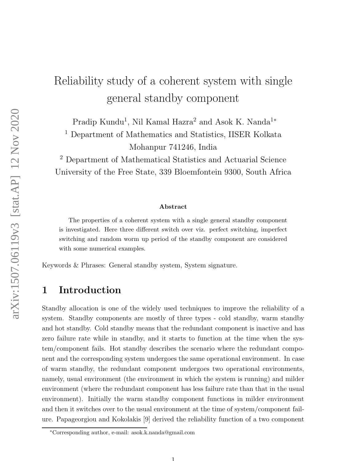# Reliability study of a coherent system with single general standby component

Pradip Kundu<sup>1</sup>, Nil Kamal Hazra<sup>2</sup> and Asok K. Nanda<sup>1</sup><sup>\*</sup> <sup>1</sup> Department of Mathematics and Statistics, IISER Kolkata Mohanpur 741246, India

<sup>2</sup> Department of Mathematical Statistics and Actuarial Science University of the Free State, 339 Bloemfontein 9300, South Africa

#### Abstract

The properties of a coherent system with a single general standby component is investigated. Here three different switch over viz. perfect switching, imperfect switching and random worm up period of the standby component are considered with some numerical examples.

Keywords & Phrases: General standby system, System signature.

# 1 Introduction

Standby allocation is one of the widely used techniques to improve the reliability of a system. Standby components are mostly of three types - cold standby, warm standby and hot standby. Cold standby means that the redundant component is inactive and has zero failure rate while in standby, and it starts to function at the time when the system/component fails. Hot standby describes the scenario where the redundant component and the corresponding system undergoes the same operational environment. In case of warm standby, the redundant component undergoes two operational environments, namely, usual environment (the environment in which the system is running) and milder environment (where the redundant component has less failure rate than that in the usual environment). Initially the warm standby component functions in milder environment and then it switches over to the usual environment at the time of system/component failure. Papageorgiou and Kokolakis [9] derived the reliability function of a two component

<sup>∗</sup>Corresponding author, e-mail: asok.k.nanda@gmail.com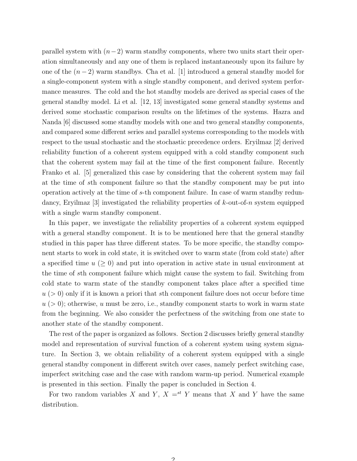parallel system with  $(n-2)$  warm standby components, where two units start their operation simultaneously and any one of them is replaced instantaneously upon its failure by one of the  $(n-2)$  warm standbys. Cha et al. [1] introduced a general standby model for a single-component system with a single standby component, and derived system performance measures. The cold and the hot standby models are derived as special cases of the general standby model. Li et al. [12, 13] investigated some general standby systems and derived some stochastic comparison results on the lifetimes of the systems. Hazra and Nanda [6] discussed some standby models with one and two general standby components, and compared some different series and parallel systems corresponding to the models with respect to the usual stochastic and the stochastic precedence orders. Eryilmaz [2] derived reliability function of a coherent system equipped with a cold standby component such that the coherent system may fail at the time of the first component failure. Recently Franko et al. [5] generalized this case by considering that the coherent system may fail at the time of sth component failure so that the standby component may be put into operation actively at the time of s-th component failure. In case of warm standby redundancy, Eryilmaz [3] investigated the reliability properties of  $k$ -out-of-n system equipped with a single warm standby component.

In this paper, we investigate the reliability properties of a coherent system equipped with a general standby component. It is to be mentioned here that the general standby studied in this paper has three different states. To be more specific, the standby component starts to work in cold state, it is switched over to warm state (from cold state) after a specified time  $u \geq 0$  and put into operation in active state in usual environment at the time of sth component failure which might cause the system to fail. Switching from cold state to warm state of the standby component takes place after a specified time  $u > 0$  only if it is known a priori that sth component failure does not occur before time  $u > 0$ ; otherwise, u must be zero, i.e., standby component starts to work in warm state from the beginning. We also consider the perfectness of the switching from one state to another state of the standby component.

The rest of the paper is organized as follows. Section 2 discusses briefly general standby model and representation of survival function of a coherent system using system signature. In Section 3, we obtain reliability of a coherent system equipped with a single general standby component in different switch over cases, namely perfect switching case, imperfect switching case and the case with random warm-up period. Numerical example is presented in this section. Finally the paper is concluded in Section 4.

For two random variables X and Y,  $X =^{st} Y$  means that X and Y have the same distribution.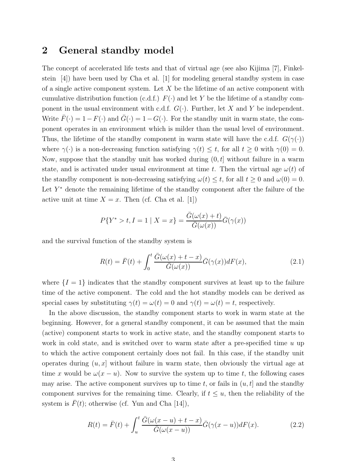### 2 General standby model

The concept of accelerated life tests and that of virtual age (see also Kijima [7], Finkelstein [4]) have been used by Cha et al. [1] for modeling general standby system in case of a single active component system. Let  $X$  be the lifetime of an active component with cumulative distribution function (c.d.f.)  $F(\cdot)$  and let Y be the lifetime of a standby component in the usual environment with c.d.f.  $G(\cdot)$ . Further, let X and Y be independent. Write  $\bar{F}(\cdot) = 1 - F(\cdot)$  and  $\bar{G}(\cdot) = 1 - G(\cdot)$ . For the standby unit in warm state, the component operates in an environment which is milder than the usual level of environment. Thus, the lifetime of the standby component in warm state will have the c.d.f.  $G(\gamma(\cdot))$ where  $\gamma(\cdot)$  is a non-decreasing function satisfying  $\gamma(t) \leq t$ , for all  $t \geq 0$  with  $\gamma(0) = 0$ . Now, suppose that the standby unit has worked during  $(0, t]$  without failure in a warm state, and is activated under usual environment at time t. Then the virtual age  $\omega(t)$  of the standby component is non-decreasing satisfying  $\omega(t) \leq t$ , for all  $t \geq 0$  and  $\omega(0) = 0$ . Let  $Y^*$  denote the remaining lifetime of the standby component after the failure of the active unit at time  $X = x$ . Then (cf. Cha et al. [1])

$$
P\{Y^* > t, I = 1 \mid X = x\} = \frac{\bar{G}(\omega(x) + t)}{\bar{G}(\omega(x))}\bar{G}(\gamma(x))
$$

and the survival function of the standby system is

$$
R(t) = \bar{F}(t) + \int_0^t \frac{\bar{G}(\omega(x) + t - x)}{\bar{G}(\omega(x))} \bar{G}(\gamma(x)) dF(x), \qquad (2.1)
$$

where  $\{I = 1\}$  indicates that the standby component survives at least up to the failure time of the active component. The cold and the hot standby models can be derived as special cases by substituting  $\gamma(t) = \omega(t) = 0$  and  $\gamma(t) = \omega(t) = t$ , respectively.

In the above discussion, the standby component starts to work in warm state at the beginning. However, for a general standby component, it can be assumed that the main (active) component starts to work in active state, and the standby component starts to work in cold state, and is switched over to warm state after a pre-specified time u up to which the active component certainly does not fail. In this case, if the standby unit operates during  $(u, x]$  without failure in warm state, then obviously the virtual age at time x would be  $\omega(x - u)$ . Now to survive the system up to time t, the following cases may arise. The active component survives up to time t, or fails in  $(u, t]$  and the standby component survives for the remaining time. Clearly, if  $t \leq u$ , then the reliability of the system is  $\bar{F}(t)$ ; otherwise (cf. Yun and Cha [14]),

$$
R(t) = \bar{F}(t) + \int_u^t \frac{\bar{G}(\omega(x-u) + t - x)}{\bar{G}(\omega(x-u))} \bar{G}(\gamma(x-u))dF(x).
$$
 (2.2)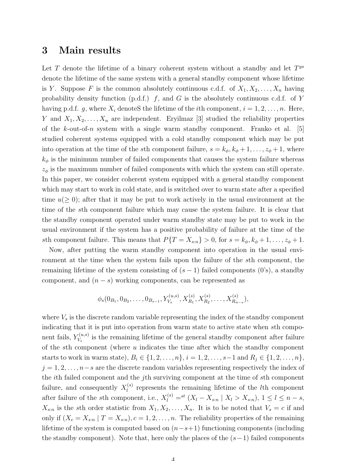### 3 Main results

Let T denote the lifetime of a binary coherent system without a standby and let  $T^{gs}$ denote the lifetime of the same system with a general standby component whose lifetime is Y. Suppose F is the common absolutely continuous c.d.f. of  $X_1, X_2, \ldots, X_n$  having probability density function  $(p.d.f.)$  f, and G is the absolutely continuous c.d.f. of Y having p.d.f. g, where  $X_i$  denoteS the lifetime of the *i*th component,  $i = 1, 2, \ldots, n$ . Here, Y and  $X_1, X_2, \ldots, X_n$  are independent. Eryilmaz [3] studied the reliability properties of the k-out-of-n system with a single warm standby component. Franko et al.  $[5]$ studied coherent systems equipped with a cold standby component which may be put into operation at the time of the sth component failure,  $s = k_{\phi}, k_{\phi} + 1, \ldots, z_{\phi} + 1$ , where  $k_{\phi}$  is the minimum number of failed components that causes the system failure whereas  $z_{\phi}$  is the maximum number of failed components with which the system can still operate. In this paper, we consider coherent system equipped with a general standby component which may start to work in cold state, and is switched over to warm state after a specified time  $u(\geq 0)$ ; after that it may be put to work actively in the usual environment at the time of the sth component failure which may cause the system failure. It is clear that the standby component operated under warm standby state may be put to work in the usual environment if the system has a positive probability of failure at the time of the sth component failure. This means that  $P\{T = X_{s:n}\} > 0$ , for  $s = k_{\phi}, k_{\phi} + 1, \ldots, z_{\phi} + 1$ .

Now, after putting the warm standby component into operation in the usual environment at the time when the system fails upon the failure of the sth component, the remaining lifetime of the system consisting of  $(s - 1)$  failed components  $(0's)$ , a standby component, and  $(n - s)$  working components, can be represented as

$$
\phi_s(0_{B_1}, 0_{B_2}, \ldots, 0_{B_{s-1}}, Y_{V_s}^{(u,s)}, X_{R_1}^{(s)}, X_{R_2}^{(s)}, \ldots, X_{R_{n-s}}^{(s)}),
$$

where  $V<sub>s</sub>$  is the discrete random variable representing the index of the standby component indicating that it is put into operation from warm state to active state when sth component fails,  $Y_{V_s}^{(u,s)}$  $V_s^{(u,s)}$  is the remaining lifetime of the general standby component after failure of the sth component (where  $u$  indicates the time after which the standby component starts to work in warm state),  $B_i \in \{1, 2, ..., n\}$ ,  $i = 1, 2, ..., s-1$  and  $R_j \in \{1, 2, ..., n\}$ ,  $j = 1, 2, \ldots, n-s$  are the discrete random variables representing respectively the index of the ith failed component and the jth surviving component at the time of sth component failure, and consequently  $X_l^{(s)}$  $\ell_l^{(s)}$  represents the remaining lifetime of the *l*<sup>th</sup> component after failure of the sth component, i.e.,  $X_l^{(s)} = st (X_l - X_{s:n} | X_l > X_{s:n}), 1 \le l \le n - s$ ,  $X_{s:n}$  is the sth order statistic from  $X_1, X_2, \ldots, X_n$ . It is to be noted that  $V_s = c$  if and only if  $(X_c = X_{s:n} | T = X_{s:n}), c = 1, 2, ..., n$ . The reliability properties of the remaining lifetime of the system is computed based on  $(n-s+1)$  functioning components (including the standby component). Note that, here only the places of the  $(s-1)$  failed components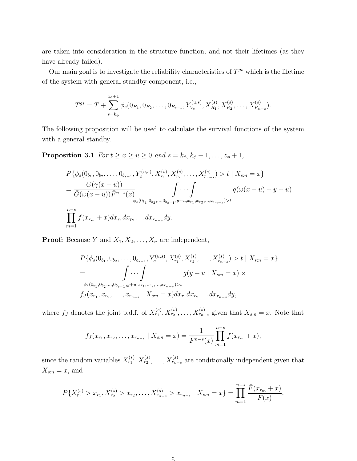are taken into consideration in the structure function, and not their lifetimes (as they have already failed).

Our main goal is to investigate the reliability characteristics of  $T<sup>gs</sup>$  which is the lifetime of the system with general standby component, i.e.,

$$
T^{gs} = T + \sum_{s=k_{\phi}}^{z_{\phi}+1} \phi_s(0_{B_1}, 0_{B_2}, \dots, 0_{B_{s-1}}, Y_{V_s}^{(u,s)}, X_{R_1}^{(s)}, X_{R_2}^{(s)}, \dots, X_{R_{n-s}}^{(s)}).
$$

The following proposition will be used to calculate the survival functions of the system with a general standby.

**Proposition 3.1** For  $t \ge x \ge u \ge 0$  and  $s = k_{\phi}, k_{\phi} + 1, \ldots, z_{\phi} + 1$ ,

$$
P\{\phi_s(0_{b_1}, 0_{b_2}, \dots, 0_{b_{s-1}}, Y_c^{(u,s)}, X_{r_1}^{(s)}, X_{r_2}^{(s)}, \dots, X_{r_{n-s}}^{(s)}) > t \mid X_{s:n} = x\}
$$
  
= 
$$
\frac{\bar{G}(\gamma(x-u))}{\bar{G}(\omega(x-u))\bar{F}^{n-s}(x)} \int \cdots \int_{\phi_s(0_{b_1}, 0_{b_2}, \dots, 0_{b_{s-1}}, y+u, x_{r_1}, x_{r_2}, \dots, x_{r_{n-s}}) > t} g(\omega(x-u) + y + u)
$$
  

$$
\prod_{m=1}^{n-s} f(x_{r_m} + x) dx_{r_1} dx_{r_2} \dots dx_{r_{n-s}} dy.
$$

**Proof:** Because Y and  $X_1, X_2, \ldots, X_n$  are independent,

$$
P\{\phi_s(0_{b_1}, 0_{b_2}, \dots, 0_{b_{s-1}}, Y_c^{(u,s)}, X_{r_1}^{(s)}, X_{r_2}^{(s)}, \dots, X_{r_{n-s}}^{(s)}) > t \mid X_{s:n} = x\}
$$
  
= 
$$
\int \cdots \int_{\phi_s(0_{b_1}, 0_{b_2}, \dots, 0_{b_{s-1}}, y+u, x_{r_1}, x_{r_2}, \dots, x_{r_{n-s}}) > t} g(y+u \mid X_{s:n} = x) \times
$$
  

$$
f_J(x_{r_1}, x_{r_2}, \dots, x_{r_{n-s}} \mid X_{s:n} = x) dx_{r_1} dx_{r_2} \dots dx_{r_{n-s}} dy,
$$

where  $f_J$  denotes the joint p.d.f. of  $X_{r_1}^{(s)}, X_{r_2}^{(s)}, \ldots, X_{r_{n-s}}^{(s)}$  given that  $X_{s:n} = x$ . Note that

$$
f_J(x_{r_1}, x_{r_2}, \ldots, x_{r_{n-s}} \mid X_{s:n} = x) = \frac{1}{\bar{F}^{n-s}(x)} \prod_{m=1}^{n-s} f(x_{r_m} + x),
$$

since the random variables  $X_{r_1}^{(s)}, X_{r_2}^{(s)}, \ldots, X_{r_{n-s}}^{(s)}$  are conditionally independent given that  $X_{s:n} = x$ , and

$$
P\{X_{r_1}^{(s)} > x_{r_1}, X_{r_2}^{(s)} > x_{r_2}, \dots, X_{r_{n-s}}^{(s)} > x_{r_{n-s}} \mid X_{s:n} = x\} = \prod_{m=1}^{n-s} \frac{\bar{F}(x_{r_m} + x)}{\bar{F}(x)}.
$$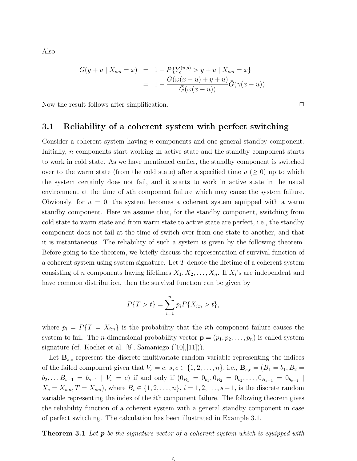Also

$$
G(y+u \mid X_{s:n} = x) = 1 - P\{Y_c^{(u,s)} > y+u \mid X_{s:n} = x\}
$$
  
= 
$$
1 - \frac{\bar{G}(\omega(x-u) + y+u)}{\bar{G}(\omega(x-u))}\bar{G}(\gamma(x-u)).
$$

Now the result follows after simplification.  $\Box$ 

#### 3.1 Reliability of a coherent system with perfect switching

Consider a coherent system having n components and one general standby component. Initially, *n* components start working in active state and the standby component starts to work in cold state. As we have mentioned earlier, the standby component is switched over to the warm state (from the cold state) after a specified time  $u \ (\geq 0)$  up to which the system certainly does not fail, and it starts to work in active state in the usual environment at the time of sth component failure which may cause the system failure. Obviously, for  $u = 0$ , the system becomes a coherent system equipped with a warm standby component. Here we assume that, for the standby component, switching from cold state to warm state and from warm state to active state are perfect, i.e., the standby component does not fail at the time of switch over from one state to another, and that it is instantaneous. The reliability of such a system is given by the following theorem. Before going to the theorem, we briefly discuss the representation of survival function of a coherent system using system signature. Let  $T$  denote the lifetime of a coherent system consisting of *n* components having lifetimes  $X_1, X_2, \ldots, X_n$ . If  $X_i$ 's are independent and have common distribution, then the survival function can be given by

$$
P\{T > t\} = \sum_{i=1}^{n} p_i P\{X_{i:n} > t\},\
$$

where  $p_i = P\{T = X_{i:n}\}\$ is the probability that the *i*th component failure causes the system to fail. The *n*-dimensional probability vector  $\mathbf{p} = (p_1, p_2, \dots, p_n)$  is called system signature (cf. Kocher et al. [8], Samaniego ([10],[11])).

Let  $\mathbf{B}_{s,c}$  represent the discrete multivariate random variable representing the indices of the failed component given that  $V_s = c$ ;  $s, c \in \{1, 2, \ldots, n\}$ , i.e.,  $\mathbf{B}_{s,c} = (B_1 = b_1, B_2 =$  $b_2, \ldots B_{s-1} = b_{s-1} \mid V_s = c$  if and only if  $(0_{B_1} = 0_{b_1}, 0_{B_2} = 0_{b_2}, \ldots, 0_{B_{s-1}} = 0_{b_{s-1}} \mid$  $X_c = X_{s:n}, T = X_{s:n}$ , where  $B_i \in \{1, 2, ..., n\}, i = 1, 2, ..., s-1$ , is the discrete random variable representing the index of the ith component failure. The following theorem gives the reliability function of a coherent system with a general standby component in case of perfect switching. The calculation has been illustrated in Example 3.1.

**Theorem 3.1** Let  $p$  be the signature vector of a coherent system which is equipped with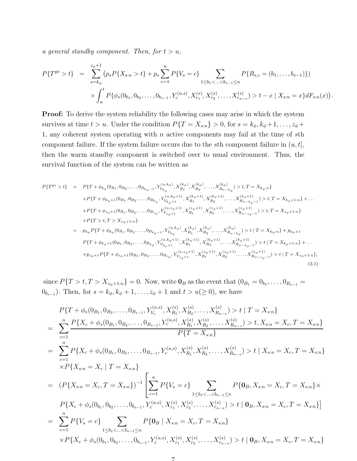a general standby component. Then, for  $t > u$ ,

$$
P\{T^{gs} > t\} = \sum_{s=k_{\phi}}^{z_{\phi}+1} (p_s P\{X_{s:n} > t\} + p_s \sum_{c=1}^n P\{V_s = c\} \sum_{1 \le b_1 < \ldots < b_{s-1} \le n} P\{B_{s,c} = (b_1, \ldots, b_{s-1})\})
$$
  
 
$$
\times \int_u^t P\{\phi_s(0_{b_1}, 0_{b_2}, \ldots, 0_{b_{s-1}}, Y_c^{(u,s)}, X_{r_1}^{(s)}, X_{r_2}^{(s)}, \ldots, X_{r_{n-s}}^{(s)}) > t - x \mid X_{s:n} = x\} dF_{s:n}(x)).
$$

**Proof:** To derive the system reliability the following cases may arise in which the system survives at time  $t > u$ . Under the condition  $P\{T = X_{s:n}\} > 0$ , for  $s = k_{\phi}, k_{\phi} + 1, \ldots, z_{\phi} +$ 1, any coherent system operating with  $n$  active components may fail at the time of  $s$ th component failure. If the system failure occurs due to the sth component failure in  $(u, t]$ , then the warm standby component is switched over to usual environment. Thus, the survival function of the system can be written as

$$
P\{T^{gs} > t\} = P\{T + \phi_{k_{\phi}}(0_{B_{1}}, 0_{B_{2}}, \ldots, 0_{B_{k_{\phi}-1}}, Y_{V_{k_{\phi}}}^{(u, k_{\phi})}, X_{R_{1}}^{(k_{\phi})}, X_{R_{2}}^{(k_{\phi})}, \ldots, X_{R_{n-k_{\phi}}}^{(k_{\phi})}) > t, T = X_{k_{\phi}:n}\}
$$
  
+
$$
P\{T + \phi_{k_{\phi}+1}(0_{B_{1}}, 0_{B_{2}}, \ldots, 0_{B_{k_{\phi}}}, Y_{V_{k_{\phi}+1}}^{(u, k_{\phi}+1)}, X_{R_{1}}^{(k_{\phi}+1)}, X_{R_{2}}^{(k_{\phi}+1)}, \ldots, X_{R_{n-k_{\phi}-1}}^{(k_{\phi}+1)}) > t, T = X_{k_{\phi}+1:n}\} + \ldots
$$
  
+
$$
P\{T + \phi_{z_{\phi}+1}(0_{B_{1}}, 0_{B_{2}}, \ldots, 0_{B_{z_{\phi}}}, Y_{V_{z_{\phi}+1}}^{(u, k_{\phi}+1)}, X_{R_{1}}^{(z_{\phi}+1)}, \ldots, X_{R_{n-k_{\phi}-1}}^{(z_{\phi}+1)}) > t, T = X_{z_{\phi}+1:n}\}
$$
  
+
$$
P\{T > t, T > X_{z_{\phi}+1:n}\}.
$$
  
= 
$$
p_{k_{\phi}}P\{T + \phi_{k_{\phi}}(0_{B_{1}}, 0_{B_{2}}, \ldots, 0_{B_{k_{\phi}-1}}, Y_{V_{k_{\phi}}}^{(u, k_{\phi})}, X_{R_{1}}^{(k_{\phi})}, X_{R_{2}}^{(k_{\phi})}, \ldots, X_{R_{n-k_{\phi}}}}^{(k_{\phi})}) > t | T = X_{k_{\phi}:n}\} + p_{k_{\phi}+1}
$$
  

$$
P\{T + \phi_{k_{\phi}+1}(0_{B_{1}}, 0_{B_{2}}, \ldots, 0_{B_{k_{\phi}}}, Y_{V_{k_{\phi}+1}}^{(u, k_{\phi}+1)}, X_{R_{1}}^{(k_{\phi}+1)}, \ldots, X_{R_{n-k_{\phi}-1}}^{(k_{\phi}+1)}) > t | T = X_{k_{\phi}+1:n}\} +
$$

since  $P\{T > t, T > X_{z_{\phi}+1:n}\} = 0$ . Now, write  $\mathbf{0}_B$  as the event that  $(0_{B_1} = 0_{b_1}, \ldots, 0_{B_{s-1}} =$  $0_{b_{s-1}}$ ). Then, for  $s = k_{\phi}, k_{\phi} + 1, \ldots, z_{\phi} + 1$  and  $t > u(\geq 0)$ , we have

$$
P\{T + \phi_s(0_{B_1}, 0_{B_2}, \dots, 0_{B_{s-1}}, Y_{V_s}^{(u,s)}, X_{R_1}^{(s)}, X_{R_2}^{(s)}, \dots, X_{R_{n-s}}^{(s)}) > t | T = X_{s:n}\}
$$
\n
$$
= \sum_{c=1}^n \frac{P\{X_c + \phi_s(0_{B_1}, 0_{B_2}, \dots, 0_{B_{s-1}}, Y_c^{(u,s)}, X_{R_1}^{(s)}, X_{R_2}^{(s)}, \dots, X_{R_{n-s}}^{(s)}) > t, X_{s:n} = X_c, T = X_{s:n}\}}{P\{T = X_{s:n}\}}
$$
\n
$$
= \sum_{c=1}^n P\{X_c + \phi_s(0_{B_1}, 0_{B_2}, \dots, 0_{B_{s-1}}, Y_c^{(u,s)}, X_{R_1}^{(s)}, X_{R_2}^{(s)}, \dots, X_{R_{n-s}}^{(s)}) > t | X_{s:n} = X_c, T = X_{s:n}\}
$$
\n
$$
\times P\{X_{s:n} = X_c | T = X_{s:n}\}
$$
\n
$$
= (P\{X_{s:n} = X_c, T = X_{s:n}\})^{-1} \left[ \sum_{c=1}^n P\{V_s = c\} \sum_{1 \le b_1 < \dots < b_{s-1} \le n} P\{0_B, X_{s:n} = X_c, T = X_{s:n}\} \times P\{X_c + \phi_s(0_{b_1}, 0_{b_2}, \dots, 0_{b_{s-1}}, Y_c^{(u,s)}, X_{r_1}^{(s)}, X_{r_2}^{(s)}, \dots, X_{r_{n-s}}^{(s)}) > t | 0_B, X_{s:n} = X_c, T = X_{s:n}\}
$$
\n
$$
= \sum_{c=1}^n P\{V_s = c\} \sum_{1 \le b_1 < \dots < b_{s-1} \le n} P\{0_B | X_{s:n} = X_c, T = X_{s:n}\}
$$
\n
$$
\times P\{X_c + \phi_s(0_{b_1}, 0_{b_2}, \dots, 0_{b_{s-1}}, Y_c^{(u,s)}, X_{r_1}^{(s)}, X_{r_2}^{(s)}, \dots, X_{r_{n-s}}^{(s)}) > t | 0_B, X_{s:n} = X_c, T = X_{s:n}\}
$$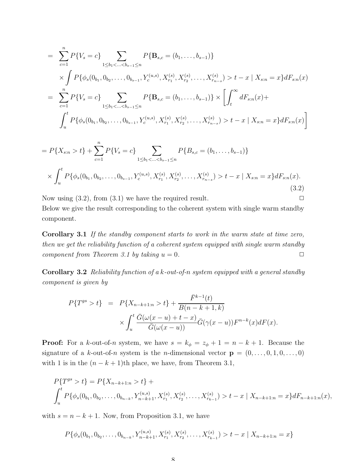$$
= \sum_{c=1}^{n} P\{V_s = c\} \sum_{1 \le b_1 < \dots < b_{s-1} \le n} P\{\mathbf{B}_{s,c} = (b_1, \dots, b_{s-1})\}
$$
  

$$
\times \int P\{\phi_s(0_{b_1}, 0_{b_2}, \dots, 0_{b_{s-1}}, Y_c^{(u,s)}, X_{r_1}^{(s)}, X_{r_2}^{(s)}, \dots, X_{r_{n-s}}^{(s)}) > t - x \mid X_{s:n} = x\} dF_{s:n}(x)
$$
  

$$
= \sum_{c=1}^{n} P\{V_s = c\} \sum_{1 \le b_1 < \dots < b_{s-1} \le n} P\{\mathbf{B}_{s,c} = (b_1, \dots, b_{s-1})\} \times \left[ \int_t^{\infty} dF_{s:n}(x) + \int_t^t P\{\phi_s(0_{b_1}, 0_{b_2}, \dots, 0_{b_{s-1}}, Y_c^{(u,s)}, X_{r_1}^{(s)}, X_{r_2}^{(s)}, \dots, X_{r_{n-s}}^{(s)}) > t - x \mid X_{s:n} = x\} dF_{s:n}(x) \right]
$$

$$
= P\{X_{s:n} > t\} + \sum_{c=1}^{n} P\{V_s = c\} \sum_{1 \le b_1 < \ldots < b_{s-1} \le n} P\{B_{s,c} = (b_1, \ldots, b_{s-1})\}
$$
  
 
$$
\times \int_{u}^{t} P\{\phi_s(0_{b_1}, 0_{b_2}, \ldots, 0_{b_{s-1}}, Y_c^{(u,s)}, X_{r_1}^{(s)}, X_{r_2}^{(s)}, \ldots, X_{r_{n-s}}^{(s)}) > t - x \mid X_{s:n} = x\} dF_{s:n}(x).
$$
(3.2)

Now using  $(3.2)$ , from  $(3.1)$  we have the required result.  $\Box$ Below we give the result corresponding to the coherent system with single warm standby component.

Corollary 3.1 If the standby component starts to work in the warm state at time zero, then we get the reliability function of a coherent system equipped with single warm standby component from Theorem 3.1 by taking  $u = 0$ .

**Corollary 3.2** Reliability function of a k-out-of-n system equipped with a general standby component is given by

$$
P\{T^{gs} > t\} = P\{X_{n-k+1:n} > t\} + \frac{\bar{F}^{k-1}(t)}{B(n-k+1,k)} \times \int_{u}^{t} \frac{\bar{G}(\omega(x-u) + t - x)}{\bar{G}(\omega(x-u))} \bar{G}(\gamma(x-u)) F^{n-k}(x) dF(x).
$$

**Proof:** For a k-out-of-n system, we have  $s = k_{\phi} = z_{\phi} + 1 = n - k + 1$ . Because the signature of a k-out-of-n system is the n-dimensional vector  $\mathbf{p} = (0, \ldots, 0, 1, 0, \ldots, 0)$ with 1 is in the  $(n - k + 1)$ th place, we have, from Theorem 3.1,

$$
P\{T^{gs} > t\} = P\{X_{n-k+1:n} > t\} +
$$
  

$$
\int_{u}^{t} P\{\phi_s(0_{b_1}, 0_{b_2}, \dots, 0_{b_{n-k}}, Y_{n-k+1}^{(u,s)}, X_{r_1}^{(s)}, X_{r_2}^{(s)}, \dots, X_{r_{k-1}}^{(s)}) > t - x \mid X_{n-k+1:n} = x\} dF_{n-k+1:n}(x),
$$

with  $s = n - k + 1$ . Now, from Proposition 3.1, we have

$$
P\{\phi_s(0_{b_1}, 0_{b_2}, \ldots, 0_{b_{n-k}}, Y_{n-k+1}^{(u,s)}, X_{r_1}^{(s)}, X_{r_2}^{(s)}, \ldots, X_{r_{k-1}}^{(s)}) > t - x \mid X_{n-k+1:n} = x\}
$$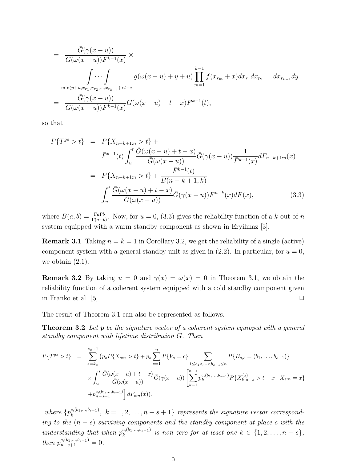$$
= \frac{\bar{G}(\gamma(x-u))}{\bar{G}(\omega(x-u))\bar{F}^{k-1}(x)} \times \int \cdots \int \limits_{\min(y+u,x_{r_1},x_{r_2},\dots,x_{r_{k-1}})>t-x} g(\omega(x-u)+y+u) \prod_{m=1}^{k-1} f(x_{r_m}+x) dx_{r_1} dx_{r_2} \dots dx_{r_{k-1}} dy
$$

$$
= \frac{\bar{G}(\gamma(x-u))}{\bar{G}(\omega(x-u))\bar{F}^{k-1}(x)} \bar{G}(\omega(x-u)+t-x) \bar{F}^{k-1}(t),
$$

so that

$$
P\{T^{gs} > t\} = P\{X_{n-k+1:n} > t\} +
$$
  
\n
$$
\bar{F}^{k-1}(t) \int_{u}^{t} \frac{\bar{G}(\omega(x-u) + t - x)}{\bar{G}(\omega(x-u))} \bar{G}(\gamma(x-u)) \frac{1}{\bar{F}^{k-1}(x)} dF_{n-k+1:n}(x)
$$
  
\n
$$
= P\{X_{n-k+1:n} > t\} + \frac{\bar{F}^{k-1}(t)}{B(n-k+1,k)}
$$
  
\n
$$
\int_{u}^{t} \frac{\bar{G}(\omega(x-u) + t - x)}{\bar{G}(\omega(x-u))} \bar{G}(\gamma(x-u)) F^{n-k}(x) dF(x), \qquad (3.3)
$$

where  $B(a, b) = \frac{\Gamma a \Gamma b}{\Gamma(a+b)}$ . Now, for  $u = 0$ , (3.3) gives the reliability function of a k-out-of-n system equipped with a warm standby component as shown in Eryilmaz [3].

**Remark 3.1** Taking  $n = k = 1$  in Corollary 3.2, we get the reliability of a single (active) component system with a general standby unit as given in  $(2.2)$ . In particular, for  $u = 0$ , we obtain  $(2.1)$ .

**Remark 3.2** By taking  $u = 0$  and  $\gamma(x) = \omega(x) = 0$  in Theorem 3.1, we obtain the reliability function of a coherent system equipped with a cold standby component given in Franko et al.  $[5]$ .

The result of Theorem 3.1 can also be represented as follows.

**Theorem 3.2** Let  $p$  be the signature vector of a coherent system equipped with a general standby component with lifetime distribution G. Then

$$
P\{T^{gs} > t\} = \sum_{s=k_{\phi}}^{z_{\phi}+1} (p_s P\{X_{s:n} > t\} + p_s \sum_{c=1}^n P\{V_s = c\} \sum_{1 \le b_1 < \ldots < b_{s-1} \le n} P\{B_{s,c} = (b_1, \ldots, b_{s-1})\}
$$
  

$$
\times \int_u^t \frac{\bar{G}(\omega(x-u) + t - x)}{\bar{G}(\omega(x-u))} \bar{G}(\gamma(x-u)) \left[ \sum_{k=1}^{n-s} p_k^{c,(b_1, \ldots, b_{s-1})} P\{X_{k:n-s}^{(s)} > t - x \mid X_{s:n} = x\}
$$
  

$$
+ p_{n-s+1}^{c,(b_1, \ldots, b_{s-1})} \right] dF_{s:n}(x),
$$

where  $\{p_k^{c,(b_1,...,b_{s-1})}\}$  $\{k, k, k=1, 2, \ldots, n-s+1\}$  represents the signature vector corresponding to the  $(n - s)$  surviving components and the standby component at place c with the understanding that when  $p_k^{c,(b_1,...,b_{s-1})}$  $\begin{cases} \mathcal{L}_{k}^{(0)}, \ldots, \mathcal{L}_{s-1}^{(0)}, \end{cases}$  is non-zero for at least one  $k \in \{1, 2, \ldots, n-s\},\$ then  $p_{n-s+1}^{c,(b_1,...,b_{s-1})}=0.$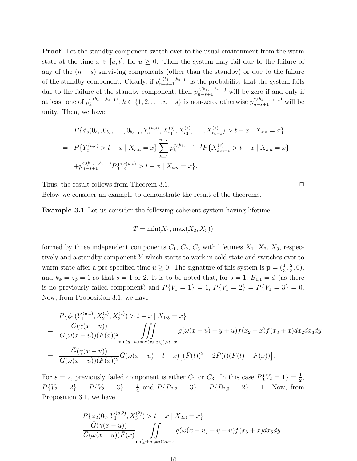**Proof:** Let the standby component switch over to the usual environment from the warm state at the time  $x \in [u, t]$ , for  $u \geq 0$ . Then the system may fail due to the failure of any of the  $(n - s)$  surviving components (other than the standby) or due to the failure of the standby component. Clearly, if  $p_{n-s+1}^{c,(b_1,...,b_{s-1})}$  is the probability that the system fails due to the failure of the standby component, then  $p_{n-s+1}^{c,(b_1,...,b_{s-1})}$  will be zero if and only if at least one of  $p_k^{c,(b_1,...,b_{s-1})}$  $(k_1, \ldots, k_{s-1}), k \in \{1, 2, \ldots, n-s\}$  is non-zero, otherwise  $p_{n-s+1}^{c,(b_1, \ldots, b_{s-1})}$  will be unity. Then, we have

$$
P\{\phi_s(0_{b_1}, 0_{b_2}, \dots, 0_{b_{s-1}}, Y_c^{(u,s)}, X_{r_1}^{(s)}, X_{r_2}^{(s)}, \dots, X_{r_{n-s}}^{(s)}) > t - x \mid X_{s:n} = x\}
$$
\n
$$
= P\{Y_c^{(u,s)} > t - x \mid X_{s:n} = x\} \sum_{k=1}^{n-s} p_k^{c,(b_1, \dots, b_{s-1})} P\{X_{k:n-s}^{(s)} > t - x \mid X_{s:n} = x\}
$$
\n
$$
+ p_{n-s+1}^{c,(b_1, \dots, b_{s-1})} P\{Y_c^{(u,s)} > t - x \mid X_{s:n} = x\}.
$$

Thus, the result follows from Theorem 3.1.  $\Box$ 

Below we consider an example to demonstrate the result of the theorems.

Example 3.1 Let us consider the following coherent system having lifetime

$$
T = \min(X_1, \max(X_2, X_3))
$$

formed by three independent components  $C_1$ ,  $C_2$ ,  $C_3$  with lifetimes  $X_1$ ,  $X_2$ ,  $X_3$ , respectively and a standby component Y which starts to work in cold state and switches over to warm state after a pre-specified time  $u \geq 0$ . The signature of this system is  $\mathbf{p} = (\frac{1}{3}, \frac{2}{3})$  $(\frac{2}{3}, 0),$ and  $k_{\phi} = z_{\phi} = 1$  so that  $s = 1$  or 2. It is to be noted that, for  $s = 1$ ,  $B_{1,1} = \phi$  (as there is no previously failed component) and  $P{V_1 = 1} = 1, P{V_1 = 2} = P{V_1 = 3} = 0.$ Now, from Proposition 3.1, we have

$$
P\{\phi_1(Y_1^{(u,1)}, X_2^{(1)}, X_3^{(1)}) > t - x \mid X_{1:3} = x\}
$$
\n
$$
= \frac{\bar{G}(\gamma(x-u))}{\bar{G}(\omega(x-u))(\bar{F}(x))^2} \iiint_{\min(y+u,\max(x_2,x_3)) > t - x} g(\omega(x-u) + y + u) f(x_2 + x) f(x_3 + x) dx_2 dx_3 dy
$$
\n
$$
= \frac{\bar{G}(\gamma(x-u))}{\bar{G}(\omega(x-u))(\bar{F}(x))^2} \bar{G}(\omega(x-u) + t - x) \big[ (\bar{F}(t))^2 + 2\bar{F}(t)(F(t) - F(x)) \big].
$$

For  $s = 2$ , previously failed component is either  $C_2$  or  $C_3$ . In this case  $P\{V_2 = 1\} = \frac{1}{2}$  $\frac{1}{2}$ ,  $P{V_2 = 2} = P{V_2 = 3} = \frac{1}{4}$  $\frac{1}{4}$  and  $P\{B_{2,2} = 3\} = P\{B_{2,3} = 2\} = 1$ . Now, from Proposition 3.1, we have

$$
P\{\phi_2(0_2, Y_1^{(u,2)}, X_3^{(2)}) > t - x \mid X_{2:3} = x\}
$$
  
= 
$$
\frac{\bar{G}(\gamma(x - u))}{\bar{G}(\omega(x - u))\bar{F}(x)} \iint_{\min(y + u, x_3) > t - x} g(\omega(x - u) + y + u) f(x_3 + x) dx_3 dy
$$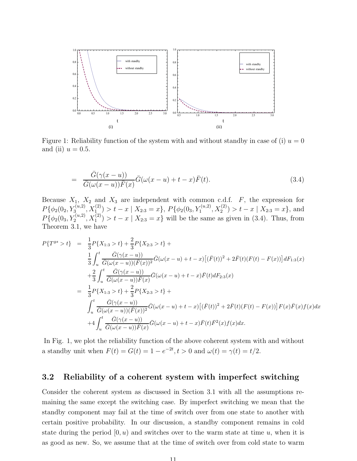

Figure 1: Reliability function of the system with and without standby in case of (i)  $u = 0$ and (ii)  $u = 0.5$ .

$$
= \frac{\bar{G}(\gamma(x-u))}{\bar{G}(\omega(x-u))\bar{F}(x)}\bar{G}(\omega(x-u)+t-x)\bar{F}(t). \tag{3.4}
$$

Because  $X_1, X_2$  and  $X_3$  are independent with common c.d.f.  $F$ , the expression for  $P\{\phi_2(0_2, Y_3^{(u,2)}, X_1^{(2)}) > t - x \mid X_{2:3} = x\}, P\{\phi_2(0_3, Y_1^{(u,2)}, X_2^{(2)}) > t - x \mid X_{2:3} = x\}, \text{ and}$  $P\{\phi_2(0_3, Y_2^{(u,2)}, X_1^{(2)}) > t - x \mid X_{2:3} = x\}$  will be the same as given in (3.4). Thus, from Theorem 3.1, we have

$$
P\{T^{gs} > t\} = \frac{1}{3} P\{X_{1:3} > t\} + \frac{2}{3} P\{X_{2:3} > t\} +
$$
  
\n
$$
\frac{1}{3} \int_{u}^{t} \frac{\bar{G}(\gamma(x - u))}{\bar{G}(\omega(x - u))(\bar{F}(x))^{2}} \bar{G}(\omega(x - u) + t - x)[(\bar{F}(t))^{2} + 2\bar{F}(t)(F(t) - F(x))]dF_{1:3}(x)
$$
  
\n
$$
+ \frac{2}{3} \int_{u}^{t} \frac{\bar{G}(\gamma(x - u))}{\bar{G}(\omega(x - u))\bar{F}(x)} \bar{G}(\omega(x - u) + t - x)\bar{F}(t) dF_{2:3}(x)
$$
  
\n
$$
= \frac{1}{3} P\{X_{1:3} > t\} + \frac{2}{3} P\{X_{2:3} > t\} +
$$
  
\n
$$
\int_{u}^{t} \frac{\bar{G}(\gamma(x - u))}{\bar{G}(\omega(x - u))(\bar{F}(x))^{2}} \bar{G}(\omega(x - u) + t - x)[(\bar{F}(t))^{2} + 2\bar{F}(t)(F(t) - F(x))]F(x)\bar{F}(x)f(x) dx
$$
  
\n
$$
+ 4 \int_{u}^{t} \frac{\bar{G}(\gamma(x - u))}{\bar{G}(\omega(x - u))\bar{F}(x)} \bar{G}(\omega(x - u) + t - x)\bar{F}(t)\bar{F}^{2}(x)f(x) dx.
$$

In Fig. 1, we plot the reliability function of the above coherent system with and without a standby unit when  $F(t) = G(t) = 1 - e^{-2t}, t > 0$  and  $\omega(t) = \gamma(t) = t/2$ .

#### 3.2 Reliability of a coherent system with imperfect switching

Consider the coherent system as discussed in Section 3.1 with all the assumptions remaining the same except the switching case. By imperfect switching we mean that the standby component may fail at the time of switch over from one state to another with certain positive probability. In our discussion, a standby component remains in cold state during the period  $(0, u)$  and switches over to the warm state at time u, when it is as good as new. So, we assume that at the time of switch over from cold state to warm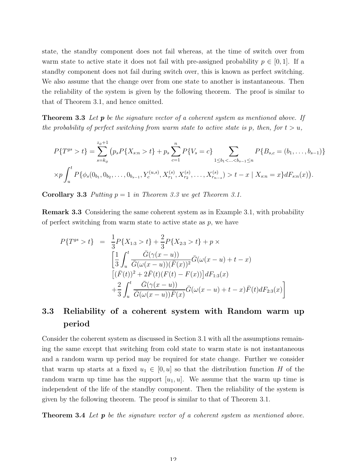state, the standby component does not fail whereas, at the time of switch over from warm state to active state it does not fail with pre-assigned probability  $p \in [0, 1]$ . If a standby component does not fail during switch over, this is known as perfect switching. We also assume that the change over from one state to another is instantaneous. Then the reliability of the system is given by the following theorem. The proof is similar to that of Theorem 3.1, and hence omitted.

**Theorem 3.3** Let  $p$  be the signature vector of a coherent system as mentioned above. If the probability of perfect switching from warm state to active state is p, then, for  $t > u$ ,

$$
P\{T^{gs} > t\} = \sum_{s=k_{\phi}}^{z_{\phi}+1} \left(p_s P\{X_{s:n} > t\} + p_s \sum_{c=1}^n P\{V_s = c\} \sum_{1 \le b_1 < \ldots < b_{s-1} \le n} P\{B_{s,c} = (b_1, \ldots, b_{s-1})\}
$$
\n
$$
\times p \int_u^t P\{\phi_s(0_{b_1}, 0_{b_2}, \ldots, 0_{b_{s-1}}, Y_c^{(u,s)}, X_{r_1}^{(s)}, X_{r_2}^{(s)}, \ldots, X_{r_{n-s}}^{(s)}) > t - x \mid X_{s:n} = x\} dF_{s:n}(x)\}.
$$

**Corollary 3.3** Putting  $p = 1$  in Theorem 3.3 we get Theorem 3.1.

Remark 3.3 Considering the same coherent system as in Example 3.1, with probability of perfect switching from warm state to active state as  $p$ , we have

$$
P\{T^{gs} > t\} = \frac{1}{3}P\{X_{1:3} > t\} + \frac{2}{3}P\{X_{2:3} > t\} + p \times
$$
  

$$
\left[\frac{1}{3} \int_{u}^{t} \frac{\bar{G}(\gamma(x - u))}{\bar{G}(\omega(x - u))(\bar{F}(x))^{2}} \bar{G}(\omega(x - u) + t - x)\right]
$$
  

$$
[(\bar{F}(t))^{2} + 2\bar{F}(t)(F(t) - F(x))]dF_{1:3}(x)
$$
  

$$
+\frac{2}{3} \int_{u}^{t} \frac{\bar{G}(\gamma(x - u))}{\bar{G}(\omega(x - u))\bar{F}(x)} \bar{G}(\omega(x - u) + t - x)\bar{F}(t) dF_{2:3}(x)\right]
$$

# 3.3 Reliability of a coherent system with Random warm up period

Consider the coherent system as discussed in Section 3.1 with all the assumptions remaining the same except that switching from cold state to warm state is not instantaneous and a random warm up period may be required for state change. Further we consider that warm up starts at a fixed  $u_1 \in [0, u]$  so that the distribution function H of the random warm up time has the support  $|u_1, u|$ . We assume that the warm up time is independent of the life of the standby component. Then the reliability of the system is given by the following theorem. The proof is similar to that of Theorem 3.1.

**Theorem 3.4** Let  $p$  be the signature vector of a coherent system as mentioned above.

19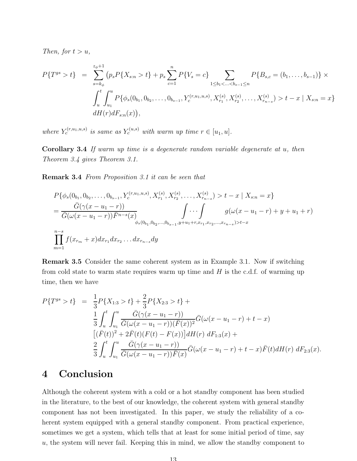Then, for  $t > u$ ,

$$
P\{T^{gs} > t\} = \sum_{s=k_{\phi}}^{z_{\phi}+1} \left( p_s P\{X_{s:n} > t\} + p_s \sum_{c=1}^{n} P\{V_s = c\} \sum_{1 \le b_1 < \dots < b_{s-1} \le n} P\{B_{s,c} = (b_1, \dots, b_{s-1})\} \times \int_u^t \int_{u_1}^u P\{\phi_s(0_{b_1}, 0_{b_2}, \dots, 0_{b_{s-1}}, Y_c^{(r, u_1, u, s)}, X_{r_1}^{(s)}, X_{r_2}^{(s)}, \dots, X_{r_{n-s}}^{(s)}) > t - x \mid X_{s:n} = x \} \, dH(r) dF_{s:n}(x) \big),
$$

where  $Y_c^{(r,u_1,u,s)}$  is same as  $Y_c^{(u,s)}$  with warm up time  $r \in [u_1, u]$ .

Corollary 3.4 If warm up time is a degenerate random variable degenerate at u, then Theorem 3.4 gives Theorem 3.1.

Remark 3.4 From Proposition 3.1 it can be seen that

$$
P\{\phi_s(0_{b_1}, 0_{b_2}, \dots, 0_{b_{s-1}}, Y_c^{(r, u_1, u, s)}, X_r^{(s)}, X_{r_2}^{(s)}, \dots, X_{r_{n-s}}^{(s)}) > t - x \mid X_{s:n} = x\}
$$
\n
$$
= \frac{\bar{G}(\gamma(x - u_1 - r))}{\bar{G}(\omega(x - u_1 - r))\bar{F}^{n-s}(x)} \int \cdots \int_{\phi_s(0_{b_1}, 0_{b_2}, \dots, 0_{b_{s-1}}, y + u_1 + r, x_{r_1}, x_{r_2}, \dots, x_{r_{n-s}}) > t - x} g(\omega(x - u_1 - r) + y + u_1 + r)
$$
\n
$$
\prod_{m=1}^{n-s} f(x_{r_m} + x) dx_{r_1} dx_{r_2} \dots dx_{r_{n-s}} dy
$$

Remark 3.5 Consider the same coherent system as in Example 3.1. Now if switching from cold state to warm state requires warm up time and  $H$  is the c.d.f. of warming up time, then we have

$$
P\{T^{gs} > t\} = \frac{1}{3}P\{X_{1:3} > t\} + \frac{2}{3}P\{X_{2:3} > t\} +
$$
  
\n
$$
\frac{1}{3} \int_{u}^{t} \int_{u_{1}}^{u} \frac{\bar{G}(\gamma(x - u_{1} - r))}{\bar{G}(\omega(x - u_{1} - r))(\bar{F}(x))^{2}} \bar{G}(\omega(x - u_{1} - r) + t - x)
$$
  
\n
$$
[(\bar{F}(t))^{2} + 2\bar{F}(t)(F(t) - F(x))]dH(r) dF_{1:3}(x) +
$$
  
\n
$$
\frac{2}{3} \int_{u}^{t} \int_{u_{1}}^{u} \frac{\bar{G}(\gamma(x - u_{1} - r))}{\bar{G}(\omega(x - u_{1} - r))\bar{F}(x)} \bar{G}(\omega(x - u_{1} - r) + t - x)\bar{F}(t) dH(r) dF_{2:3}(x).
$$

# 4 Conclusion

Although the coherent system with a cold or a hot standby component has been studied in the literature, to the best of our knowledge, the coherent system with general standby component has not been investigated. In this paper, we study the reliability of a coherent system equipped with a general standby component. From practical experience, sometimes we get a system, which tells that at least for some initial period of time, say  $u$ , the system will never fail. Keeping this in mind, we allow the standby component to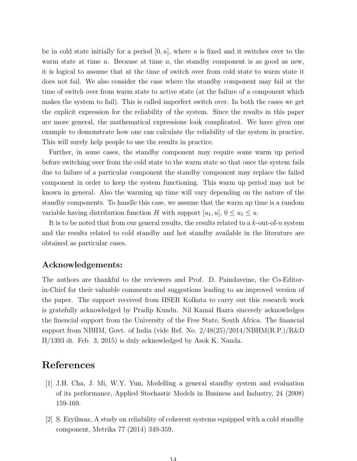be in cold state initially for a period  $[0, u]$ , where u is fixed and it switches over to the warm state at time  $u$ . Because at time  $u$ , the standby component is as good as new, it is logical to assume that at the time of switch over from cold state to warm state it does not fail. We also consider the case where the standby component may fail at the time of switch over from warm state to active state (at the failure of a component which makes the system to fail). This is called imperfect switch over. In both the cases we get the explicit expression for the reliability of the system. Since the results in this paper are more general, the mathematical expressions look complicated. We have given one example to demonstrate how one can calculate the reliability of the system in practice. This will surely help people to use the results in practice.

Further, in some cases, the standby component may require some warm up period before switching over from the cold state to the warm state so that once the system fails due to failure of a particular component the standby component may replace the failed component in order to keep the system functioning. This warm up period may not be known in general. Also the warming up time will vary depending on the nature of the standby components. To handle this case, we assume that the warm up time is a random variable having distribution function H with support  $[u_1, u]$ ,  $0 \le u_1 \le u$ .

It is to be noted that from our general results, the results related to a  $k$ -out-of-n system and the results related to cold standby and hot standby available in the literature are obtained as particular cases.

#### Acknowledgements:

The authors are thankful to the reviewers and Prof. D. Paindaveine, the Co-Editorin-Chief for their valuable comments and suggestions leading to an improved version of the paper. The support received from IISER Kolkata to carry out this research work is gratefully acknowledged by Pradip Kundu. Nil Kamal Hazra sincerely acknowledges the finencial support from the University of the Free State, South Africa. The financial support from NBHM, Govt. of India (vide Ref. No. 2/48(25)/2014/NBHM(R.P.)/R&D II/1393 dt. Feb. 3, 2015) is duly acknowledged by Asok K. Nanda.

### References

- [1] J.H. Cha, J. Mi, W.Y. Yun, Modelling a general standby system and evaluation of its performance, Applied Stochastic Models in Business and Industry, 24 (2008) 159-169.
- [2] S. Eryilmaz, A study on reliability of coherent systems equipped with a cold standby component, Metrika 77 (2014) 349-359.